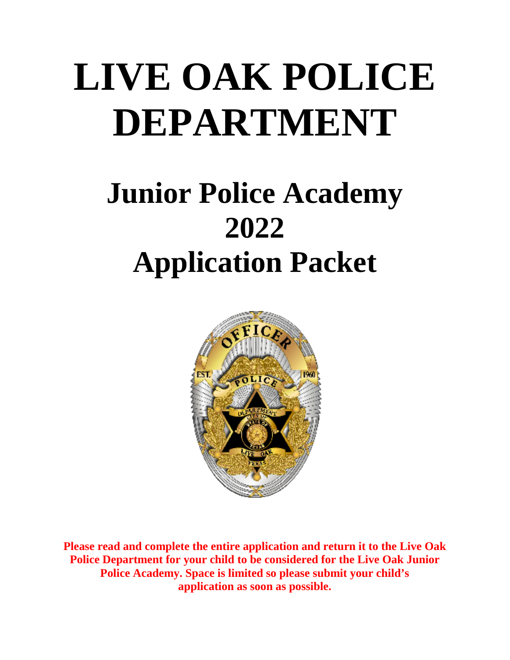# **LIVE OAK POLICE DEPARTMENT**

# **Junior Police Academy 2022 Application Packet**



**Please read and complete the entire application and return it to the Live Oak Police Department for your child to be considered for the Live Oak Junior Police Academy. Space is limited so please submit your child's application as soon as possible.**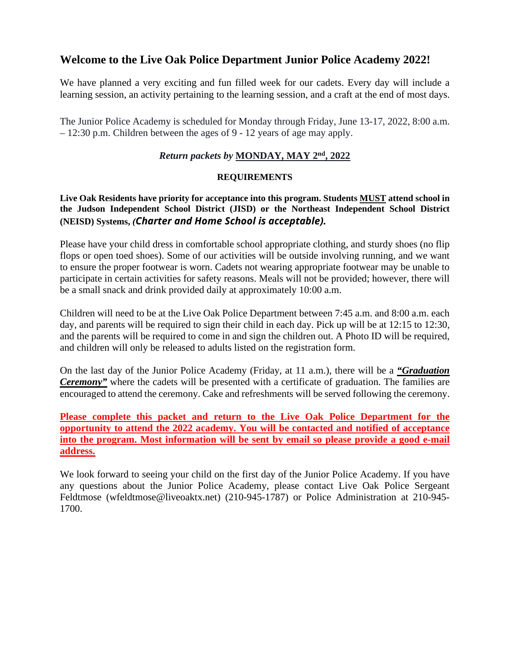#### **Welcome to the Live Oak Police Department Junior Police Academy 2022!**

We have planned a very exciting and fun filled week for our cadets. Every day will include a learning session, an activity pertaining to the learning session, and a craft at the end of most days.

The Junior Police Academy is scheduled for Monday through Friday, June 13-17, 2022, 8:00 a.m. – 12:30 p.m. Children between the ages of 9 - 12 years of age may apply.

#### *Return packets by* **MONDAY, MAY 2nd, 2022**

#### **REQUIREMENTS**

**Live Oak Residents have priority for acceptance into this program. Students MUST attend school in the Judson Independent School District (JISD) or the Northeast Independent School District (NEISD) Systems,** *(Charter and Home School is acceptable).*

Please have your child dress in comfortable school appropriate clothing, and sturdy shoes (no flip flops or open toed shoes). Some of our activities will be outside involving running, and we want to ensure the proper footwear is worn. Cadets not wearing appropriate footwear may be unable to participate in certain activities for safety reasons. Meals will not be provided; however, there will be a small snack and drink provided daily at approximately 10:00 a.m.

Children will need to be at the Live Oak Police Department between 7:45 a.m. and 8:00 a.m. each day, and parents will be required to sign their child in each day. Pick up will be at 12:15 to 12:30, and the parents will be required to come in and sign the children out. A Photo ID will be required, and children will only be released to adults listed on the registration form.

On the last day of the Junior Police Academy (Friday, at 11 a.m.), there will be a *"Graduation Ceremony"* where the cadets will be presented with a certificate of graduation. The families are encouraged to attend the ceremony. Cake and refreshments will be served following the ceremony.

**Please complete this packet and return to the Live Oak Police Department for the opportunity to attend the 2022 academy. You will be contacted and notified of acceptance into the program. Most information will be sent by email so please provide a good e-mail address.**

We look forward to seeing your child on the first day of the Junior Police Academy. If you have any questions about the Junior Police Academy, please contact Live Oak Police Sergeant Feldtmose (wfeldtmose@liveoaktx.net) (210-945-1787) or Police Administration at 210-945- 1700.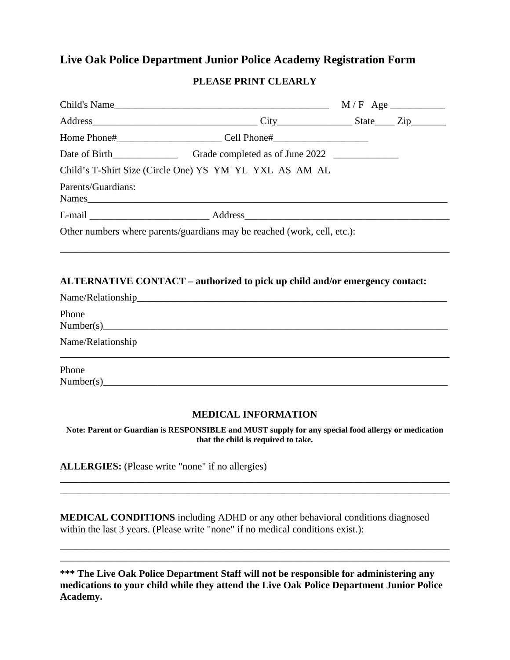#### **Live Oak Police Department Junior Police Academy Registration Form**

#### **PLEASE PRINT CLEARLY**

|                    | Child's Name $M/F$ Age $\_\_\_\_\_\_$ M/F Age $\_\_\_\_\_\_$                |  |
|--------------------|-----------------------------------------------------------------------------|--|
|                    |                                                                             |  |
|                    |                                                                             |  |
|                    |                                                                             |  |
|                    | Child's T-Shirt Size (Circle One) YS YM YL YXL AS AM AL                     |  |
| Parents/Guardians: |                                                                             |  |
|                    |                                                                             |  |
|                    | Other numbers where parents/guardians may be reached (work, cell, etc.):    |  |
|                    |                                                                             |  |
|                    | ALTERNATIVE CONTACT - authorized to pick up child and/or emergency contact: |  |
|                    |                                                                             |  |
| Phone              |                                                                             |  |

Name/Relationship

Phone  $Number(s)$ 

#### **MEDICAL INFORMATION**

\_\_\_\_\_\_\_\_\_\_\_\_\_\_\_\_\_\_\_\_\_\_\_\_\_\_\_\_\_\_\_\_\_\_\_\_\_\_\_\_\_\_\_\_\_\_\_\_\_\_\_\_\_\_\_\_\_\_\_\_\_\_\_\_\_\_\_\_\_\_\_\_\_\_\_\_\_\_

**Note: Parent or Guardian is RESPONSIBLE and MUST supply for any special food allergy or medication that the child is required to take.** 

\_\_\_\_\_\_\_\_\_\_\_\_\_\_\_\_\_\_\_\_\_\_\_\_\_\_\_\_\_\_\_\_\_\_\_\_\_\_\_\_\_\_\_\_\_\_\_\_\_\_\_\_\_\_\_\_\_\_\_\_\_\_\_\_\_\_\_\_\_\_\_\_\_\_\_\_\_\_ \_\_\_\_\_\_\_\_\_\_\_\_\_\_\_\_\_\_\_\_\_\_\_\_\_\_\_\_\_\_\_\_\_\_\_\_\_\_\_\_\_\_\_\_\_\_\_\_\_\_\_\_\_\_\_\_\_\_\_\_\_\_\_\_\_\_\_\_\_\_\_\_\_\_\_\_\_\_

**ALLERGIES:** (Please write "none" if no allergies)

**MEDICAL CONDITIONS** including ADHD or any other behavioral conditions diagnosed within the last 3 years. (Please write "none" if no medical conditions exist.):

**\*\*\* The Live Oak Police Department Staff will not be responsible for administering any medications to your child while they attend the Live Oak Police Department Junior Police Academy.**

\_\_\_\_\_\_\_\_\_\_\_\_\_\_\_\_\_\_\_\_\_\_\_\_\_\_\_\_\_\_\_\_\_\_\_\_\_\_\_\_\_\_\_\_\_\_\_\_\_\_\_\_\_\_\_\_\_\_\_\_\_\_\_\_\_\_\_\_\_\_\_\_\_\_\_\_\_\_ \_\_\_\_\_\_\_\_\_\_\_\_\_\_\_\_\_\_\_\_\_\_\_\_\_\_\_\_\_\_\_\_\_\_\_\_\_\_\_\_\_\_\_\_\_\_\_\_\_\_\_\_\_\_\_\_\_\_\_\_\_\_\_\_\_\_\_\_\_\_\_\_\_\_\_\_\_\_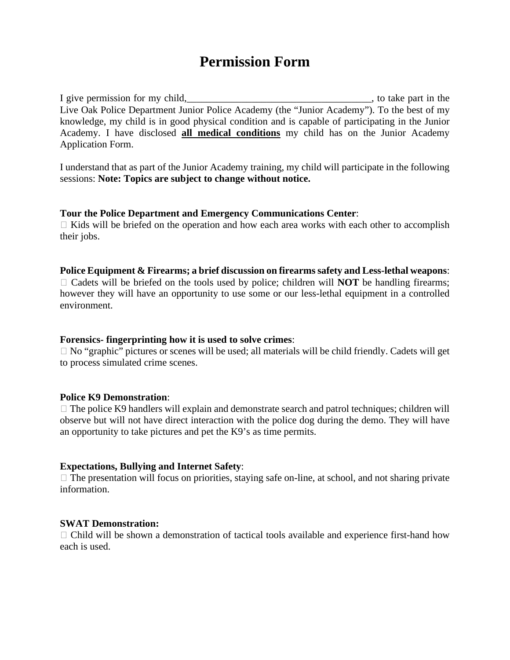# **Permission Form**

I give permission for my child,\_\_\_\_\_\_\_\_\_\_\_\_\_\_\_\_\_\_\_\_\_\_\_\_\_\_\_\_\_\_\_\_\_\_\_\_\_, to take part in the Live Oak Police Department Junior Police Academy (the "Junior Academy"). To the best of my knowledge, my child is in good physical condition and is capable of participating in the Junior Academy. I have disclosed **all medical conditions** my child has on the Junior Academy Application Form.

I understand that as part of the Junior Academy training, my child will participate in the following sessions: **Note: Topics are subject to change without notice.**

#### **Tour the Police Department and Emergency Communications Center**:

 $\Box$  Kids will be briefed on the operation and how each area works with each other to accomplish their jobs.

#### **Police Equipment & Firearms; a brief discussion on firearms safety and Less-lethal weapons**:

 $\Box$  Cadets will be briefed on the tools used by police; children will **NOT** be handling firearms; however they will have an opportunity to use some or our less-lethal equipment in a controlled environment.

#### **Forensics- fingerprinting how it is used to solve crimes**:

 $\Box$  No "graphic" pictures or scenes will be used; all materials will be child friendly. Cadets will get to process simulated crime scenes.

#### **Police K9 Demonstration**:

 $\Box$  The police K9 handlers will explain and demonstrate search and patrol techniques; children will observe but will not have direct interaction with the police dog during the demo. They will have an opportunity to take pictures and pet the K9's as time permits.

#### **Expectations, Bullying and Internet Safety**:

 $\Box$  The presentation will focus on priorities, staying safe on-line, at school, and not sharing private information.

#### **SWAT Demonstration:**

 $\Box$  Child will be shown a demonstration of tactical tools available and experience first-hand how each is used.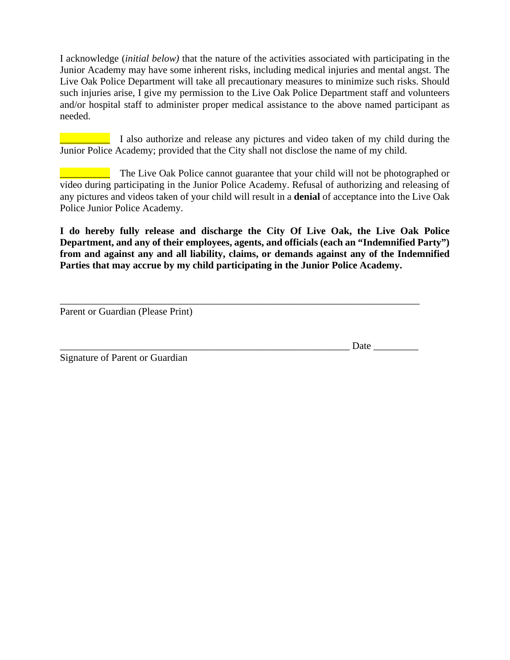I acknowledge (*initial below)* that the nature of the activities associated with participating in the Junior Academy may have some inherent risks, including medical injuries and mental angst. The Live Oak Police Department will take all precautionary measures to minimize such risks. Should such injuries arise, I give my permission to the Live Oak Police Department staff and volunteers and/or hospital staff to administer proper medical assistance to the above named participant as needed.

**Example 1** also authorize and release any pictures and video taken of my child during the Junior Police Academy; provided that the City shall not disclose the name of my child.

The Live Oak Police cannot guarantee that your child will not be photographed or video during participating in the Junior Police Academy. Refusal of authorizing and releasing of any pictures and videos taken of your child will result in a **denial** of acceptance into the Live Oak Police Junior Police Academy.

**I do hereby fully release and discharge the City Of Live Oak, the Live Oak Police Department, and any of their employees, agents, and officials (each an "Indemnified Party") from and against any and all liability, claims, or demands against any of the Indemnified Parties that may accrue by my child participating in the Junior Police Academy.** 

\_\_\_\_\_\_\_\_\_\_\_\_\_\_\_\_\_\_\_\_\_\_\_\_\_\_\_\_\_\_\_\_\_\_\_\_\_\_\_\_\_\_\_\_\_\_\_\_\_\_\_\_\_\_\_\_\_\_\_\_\_\_\_\_\_\_\_\_\_\_\_\_

Parent or Guardian (Please Print)

Date  $\Box$ 

Signature of Parent or Guardian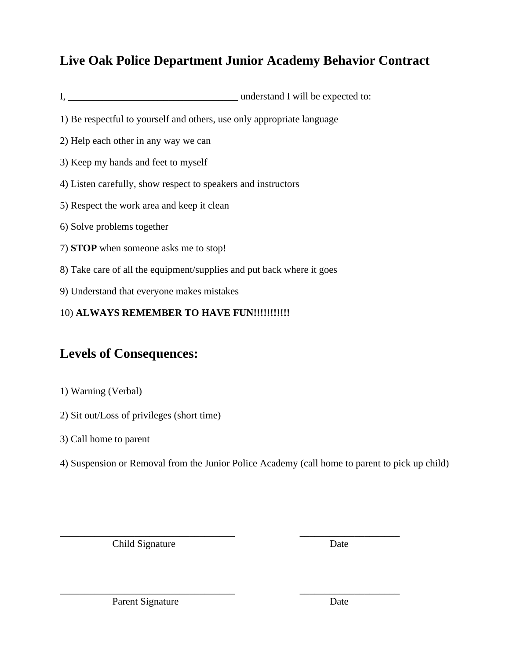## **Live Oak Police Department Junior Academy Behavior Contract**

- I, \_\_\_\_\_\_\_\_\_\_\_\_\_\_\_\_\_\_\_\_\_\_\_\_\_\_\_\_\_\_\_\_\_\_ understand I will be expected to:
- 1) Be respectful to yourself and others, use only appropriate language
- 2) Help each other in any way we can
- 3) Keep my hands and feet to myself
- 4) Listen carefully, show respect to speakers and instructors
- 5) Respect the work area and keep it clean
- 6) Solve problems together
- 7) **STOP** when someone asks me to stop!
- 8) Take care of all the equipment/supplies and put back where it goes
- 9) Understand that everyone makes mistakes

#### 10) **ALWAYS REMEMBER TO HAVE FUN!!!!!!!!!!!**

# **Levels of Consequences:**

- 1) Warning (Verbal)
- 2) Sit out/Loss of privileges (short time)
- 3) Call home to parent
- 4) Suspension or Removal from the Junior Police Academy (call home to parent to pick up child)

\_\_\_\_\_\_\_\_\_\_\_\_\_\_\_\_\_\_\_\_\_\_\_\_\_\_\_\_\_\_\_\_\_\_\_ \_\_\_\_\_\_\_\_\_\_\_\_\_\_\_\_\_\_\_\_

\_\_\_\_\_\_\_\_\_\_\_\_\_\_\_\_\_\_\_\_\_\_\_\_\_\_\_\_\_\_\_\_\_\_\_ \_\_\_\_\_\_\_\_\_\_\_\_\_\_\_\_\_\_\_\_ Child Signature Date

Parent Signature Date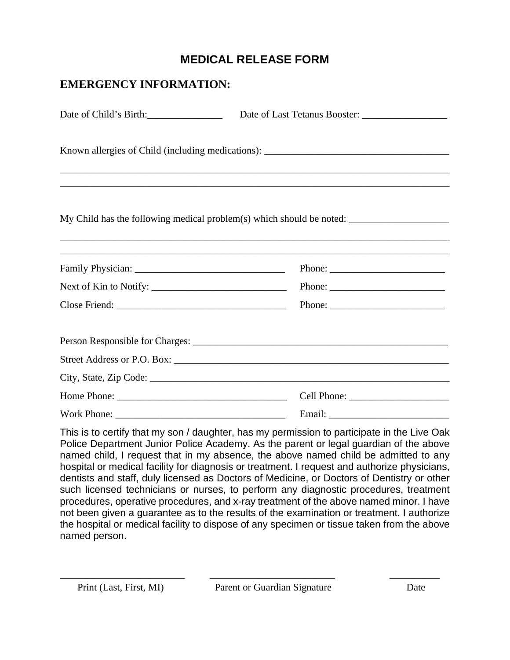### **MEDICAL RELEASE FORM**

| <b>EMERGENCY INFORMATION:</b> |                                                           |  |  |
|-------------------------------|-----------------------------------------------------------|--|--|
| Date of Child's Birth:        | Date of Last Tetanus Booster:                             |  |  |
|                               |                                                           |  |  |
|                               |                                                           |  |  |
|                               | Phone: $\frac{1}{\sqrt{1-\frac{1}{2}} \cdot \frac{1}{2}}$ |  |  |
|                               |                                                           |  |  |
|                               |                                                           |  |  |
|                               |                                                           |  |  |
|                               |                                                           |  |  |
|                               |                                                           |  |  |
|                               |                                                           |  |  |
|                               |                                                           |  |  |

This is to certify that my son / daughter, has my permission to participate in the Live Oak Police Department Junior Police Academy. As the parent or legal guardian of the above named child, I request that in my absence, the above named child be admitted to any hospital or medical facility for diagnosis or treatment. I request and authorize physicians, dentists and staff, duly licensed as Doctors of Medicine, or Doctors of Dentistry or other such licensed technicians or nurses, to perform any diagnostic procedures, treatment procedures, operative procedures, and x-ray treatment of the above named minor. I have not been given a guarantee as to the results of the examination or treatment. I authorize the hospital or medical facility to dispose of any specimen or tissue taken from the above named person.

\_\_\_\_\_\_\_\_\_\_\_\_\_\_\_\_\_\_\_\_\_\_\_\_\_ \_\_\_\_\_\_\_\_\_\_\_\_\_\_\_\_\_\_\_\_\_\_\_\_\_ \_\_\_\_\_\_\_\_\_\_